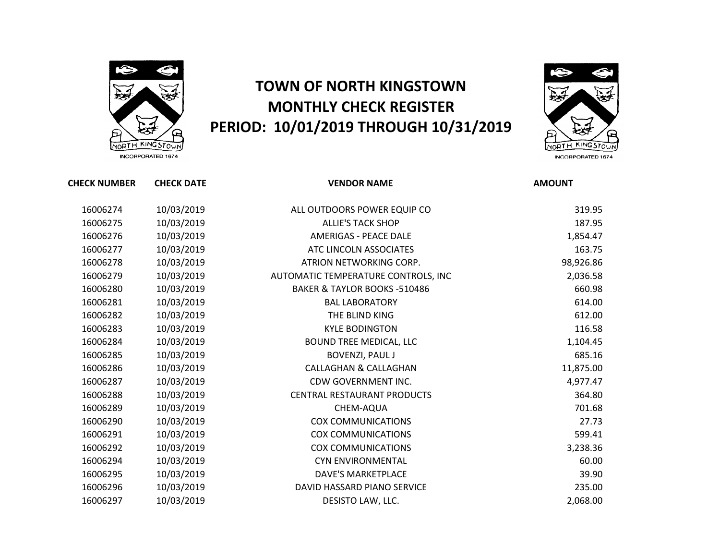

## **TOWN OF NORTH KINGSTOWN MONTHLY CHECK REGISTER PERIOD: 10/01/2019 THROUGH 10/31/2019**



INCORPORATED 1674

| <b>CHECK NUMBER</b> | <b>CHECK DATE</b> | <b>VENDOR NAME</b>                      | <b>AMOUNT</b> |
|---------------------|-------------------|-----------------------------------------|---------------|
| 16006274            | 10/03/2019        | ALL OUTDOORS POWER EQUIP CO             | 319.95        |
| 16006275            | 10/03/2019        | <b>ALLIE'S TACK SHOP</b>                | 187.95        |
| 16006276            | 10/03/2019        | <b>AMERIGAS - PEACE DALE</b>            | 1,854.47      |
| 16006277            | 10/03/2019        | ATC LINCOLN ASSOCIATES                  | 163.75        |
| 16006278            | 10/03/2019        | ATRION NETWORKING CORP.                 | 98,926.86     |
| 16006279            | 10/03/2019        | AUTOMATIC TEMPERATURE CONTROLS, INC     | 2,036.58      |
| 16006280            | 10/03/2019        | <b>BAKER &amp; TAYLOR BOOKS -510486</b> | 660.98        |
| 16006281            | 10/03/2019        | <b>BAL LABORATORY</b>                   | 614.00        |
| 16006282            | 10/03/2019        | THE BLIND KING                          | 612.00        |
| 16006283            | 10/03/2019        | <b>KYLE BODINGTON</b>                   | 116.58        |
| 16006284            | 10/03/2019        | <b>BOUND TREE MEDICAL, LLC</b>          | 1,104.45      |
| 16006285            | 10/03/2019        | <b>BOVENZI, PAUL J</b>                  | 685.16        |
| 16006286            | 10/03/2019        | <b>CALLAGHAN &amp; CALLAGHAN</b>        | 11,875.00     |
| 16006287            | 10/03/2019        | CDW GOVERNMENT INC.                     | 4,977.47      |
| 16006288            | 10/03/2019        | CENTRAL RESTAURANT PRODUCTS             | 364.80        |
| 16006289            | 10/03/2019        | CHEM-AQUA                               | 701.68        |
| 16006290            | 10/03/2019        | <b>COX COMMUNICATIONS</b>               | 27.73         |
| 16006291            | 10/03/2019        | <b>COX COMMUNICATIONS</b>               | 599.41        |
| 16006292            | 10/03/2019        | <b>COX COMMUNICATIONS</b>               | 3,238.36      |
| 16006294            | 10/03/2019        | <b>CYN ENVIRONMENTAL</b>                | 60.00         |
| 16006295            | 10/03/2019        | <b>DAVE'S MARKETPLACE</b>               | 39.90         |
| 16006296            | 10/03/2019        | DAVID HASSARD PIANO SERVICE             | 235.00        |
| 16006297            | 10/03/2019        | DESISTO LAW, LLC.                       | 2,068.00      |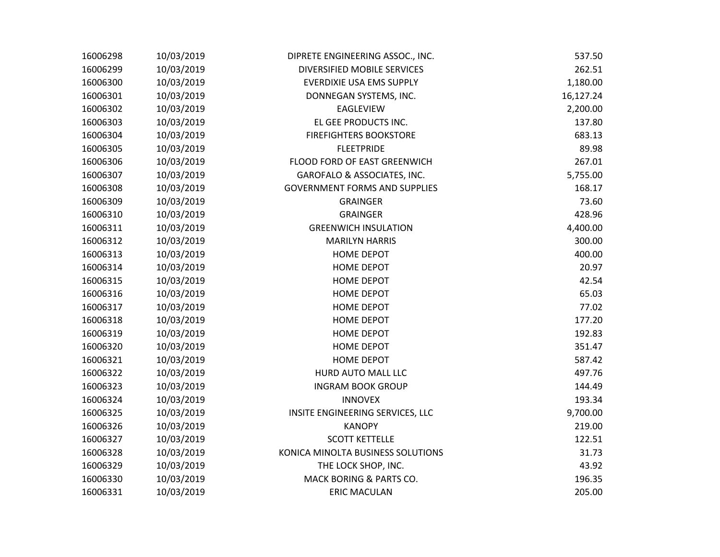| 16006298 | 10/03/2019 | DIPRETE ENGINEERING ASSOC., INC.     | 537.50    |
|----------|------------|--------------------------------------|-----------|
| 16006299 | 10/03/2019 | DIVERSIFIED MOBILE SERVICES          | 262.51    |
| 16006300 | 10/03/2019 | <b>EVERDIXIE USA EMS SUPPLY</b>      | 1,180.00  |
| 16006301 | 10/03/2019 | DONNEGAN SYSTEMS, INC.               | 16,127.24 |
| 16006302 | 10/03/2019 | <b>EAGLEVIEW</b>                     | 2,200.00  |
| 16006303 | 10/03/2019 | EL GEE PRODUCTS INC.                 | 137.80    |
| 16006304 | 10/03/2019 | <b>FIREFIGHTERS BOOKSTORE</b>        | 683.13    |
| 16006305 | 10/03/2019 | <b>FLEETPRIDE</b>                    | 89.98     |
| 16006306 | 10/03/2019 | FLOOD FORD OF EAST GREENWICH         | 267.01    |
| 16006307 | 10/03/2019 | GAROFALO & ASSOCIATES, INC.          | 5,755.00  |
| 16006308 | 10/03/2019 | <b>GOVERNMENT FORMS AND SUPPLIES</b> | 168.17    |
| 16006309 | 10/03/2019 | <b>GRAINGER</b>                      | 73.60     |
| 16006310 | 10/03/2019 | <b>GRAINGER</b>                      | 428.96    |
| 16006311 | 10/03/2019 | <b>GREENWICH INSULATION</b>          | 4,400.00  |
| 16006312 | 10/03/2019 | <b>MARILYN HARRIS</b>                | 300.00    |
| 16006313 | 10/03/2019 | <b>HOME DEPOT</b>                    | 400.00    |
| 16006314 | 10/03/2019 | <b>HOME DEPOT</b>                    | 20.97     |
| 16006315 | 10/03/2019 | <b>HOME DEPOT</b>                    | 42.54     |
| 16006316 | 10/03/2019 | <b>HOME DEPOT</b>                    | 65.03     |
| 16006317 | 10/03/2019 | <b>HOME DEPOT</b>                    | 77.02     |
| 16006318 | 10/03/2019 | <b>HOME DEPOT</b>                    | 177.20    |
| 16006319 | 10/03/2019 | <b>HOME DEPOT</b>                    | 192.83    |
| 16006320 | 10/03/2019 | <b>HOME DEPOT</b>                    | 351.47    |
| 16006321 | 10/03/2019 | <b>HOME DEPOT</b>                    | 587.42    |
| 16006322 | 10/03/2019 | HURD AUTO MALL LLC                   | 497.76    |
| 16006323 | 10/03/2019 | <b>INGRAM BOOK GROUP</b>             | 144.49    |
| 16006324 | 10/03/2019 | <b>INNOVEX</b>                       | 193.34    |
| 16006325 | 10/03/2019 | INSITE ENGINEERING SERVICES, LLC     | 9,700.00  |
| 16006326 | 10/03/2019 | <b>KANOPY</b>                        | 219.00    |
| 16006327 | 10/03/2019 | <b>SCOTT KETTELLE</b>                | 122.51    |
| 16006328 | 10/03/2019 | KONICA MINOLTA BUSINESS SOLUTIONS    | 31.73     |
| 16006329 | 10/03/2019 | THE LOCK SHOP, INC.                  | 43.92     |
| 16006330 | 10/03/2019 | MACK BORING & PARTS CO.              | 196.35    |
| 16006331 | 10/03/2019 | <b>ERIC MACULAN</b>                  | 205.00    |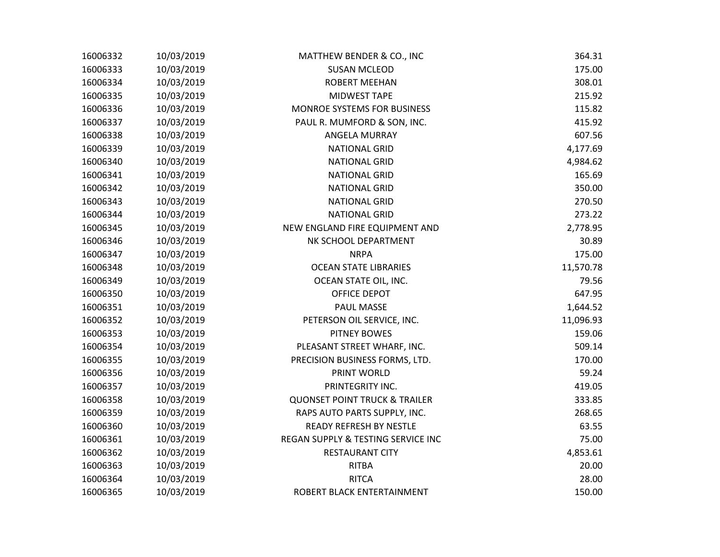| 16006332 | 10/03/2019 | MATTHEW BENDER & CO., INC                | 364.31    |
|----------|------------|------------------------------------------|-----------|
| 16006333 | 10/03/2019 | <b>SUSAN MCLEOD</b>                      | 175.00    |
| 16006334 | 10/03/2019 | <b>ROBERT MEEHAN</b>                     | 308.01    |
| 16006335 | 10/03/2019 | MIDWEST TAPE                             | 215.92    |
| 16006336 | 10/03/2019 | MONROE SYSTEMS FOR BUSINESS              | 115.82    |
| 16006337 | 10/03/2019 | PAUL R. MUMFORD & SON, INC.              | 415.92    |
| 16006338 | 10/03/2019 | ANGELA MURRAY                            | 607.56    |
| 16006339 | 10/03/2019 | <b>NATIONAL GRID</b>                     | 4,177.69  |
| 16006340 | 10/03/2019 | <b>NATIONAL GRID</b>                     | 4,984.62  |
| 16006341 | 10/03/2019 | <b>NATIONAL GRID</b>                     | 165.69    |
| 16006342 | 10/03/2019 | <b>NATIONAL GRID</b>                     | 350.00    |
| 16006343 | 10/03/2019 | <b>NATIONAL GRID</b>                     | 270.50    |
| 16006344 | 10/03/2019 | <b>NATIONAL GRID</b>                     | 273.22    |
| 16006345 | 10/03/2019 | NEW ENGLAND FIRE EQUIPMENT AND           | 2,778.95  |
| 16006346 | 10/03/2019 | NK SCHOOL DEPARTMENT                     | 30.89     |
| 16006347 | 10/03/2019 | <b>NRPA</b>                              | 175.00    |
| 16006348 | 10/03/2019 | <b>OCEAN STATE LIBRARIES</b>             | 11,570.78 |
| 16006349 | 10/03/2019 | OCEAN STATE OIL, INC.                    | 79.56     |
| 16006350 | 10/03/2019 | OFFICE DEPOT                             | 647.95    |
| 16006351 | 10/03/2019 | PAUL MASSE                               | 1,644.52  |
| 16006352 | 10/03/2019 | PETERSON OIL SERVICE, INC.               | 11,096.93 |
| 16006353 | 10/03/2019 | <b>PITNEY BOWES</b>                      | 159.06    |
| 16006354 | 10/03/2019 | PLEASANT STREET WHARF, INC.              | 509.14    |
| 16006355 | 10/03/2019 | PRECISION BUSINESS FORMS, LTD.           | 170.00    |
| 16006356 | 10/03/2019 | PRINT WORLD                              | 59.24     |
| 16006357 | 10/03/2019 | PRINTEGRITY INC.                         | 419.05    |
| 16006358 | 10/03/2019 | <b>QUONSET POINT TRUCK &amp; TRAILER</b> | 333.85    |
| 16006359 | 10/03/2019 | RAPS AUTO PARTS SUPPLY, INC.             | 268.65    |
| 16006360 | 10/03/2019 | <b>READY REFRESH BY NESTLE</b>           | 63.55     |
| 16006361 | 10/03/2019 | REGAN SUPPLY & TESTING SERVICE INC       | 75.00     |
| 16006362 | 10/03/2019 | <b>RESTAURANT CITY</b>                   | 4,853.61  |
| 16006363 | 10/03/2019 | <b>RITBA</b>                             | 20.00     |
| 16006364 | 10/03/2019 | <b>RITCA</b>                             | 28.00     |
| 16006365 | 10/03/2019 | ROBERT BLACK ENTERTAINMENT               | 150.00    |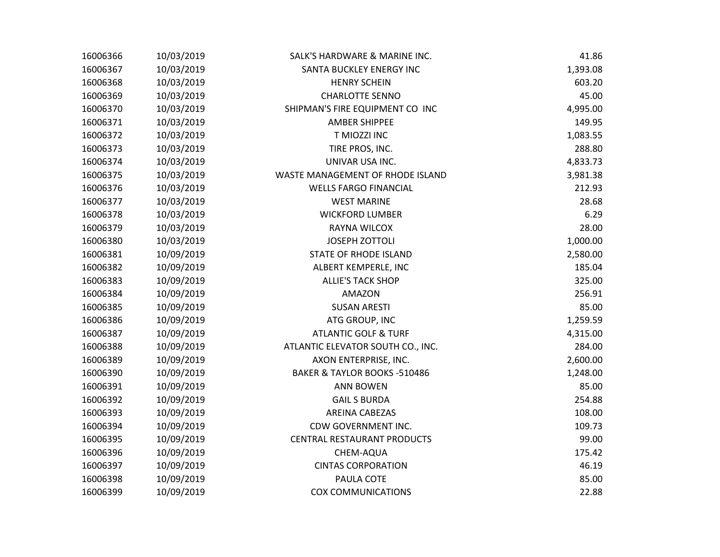| 16006366 | 10/03/2019 | SALK'S HARDWARE & MARINE INC.      | 41.86    |
|----------|------------|------------------------------------|----------|
| 16006367 | 10/03/2019 | SANTA BUCKLEY ENERGY INC           | 1,393.08 |
| 16006368 | 10/03/2019 | <b>HENRY SCHEIN</b>                | 603.20   |
| 16006369 | 10/03/2019 | <b>CHARLOTTE SENNO</b>             | 45.00    |
| 16006370 | 10/03/2019 | SHIPMAN'S FIRE EQUIPMENT CO INC    | 4,995.00 |
| 16006371 | 10/03/2019 | <b>AMBER SHIPPEE</b>               | 149.95   |
| 16006372 | 10/03/2019 | T MIOZZI INC                       | 1,083.55 |
| 16006373 | 10/03/2019 | TIRE PROS, INC.                    | 288.80   |
| 16006374 | 10/03/2019 | UNIVAR USA INC.                    | 4,833.73 |
| 16006375 | 10/03/2019 | WASTE MANAGEMENT OF RHODE ISLAND   | 3,981.38 |
| 16006376 | 10/03/2019 | <b>WELLS FARGO FINANCIAL</b>       | 212.93   |
| 16006377 | 10/03/2019 | <b>WEST MARINE</b>                 | 28.68    |
| 16006378 | 10/03/2019 | <b>WICKFORD LUMBER</b>             | 6.29     |
| 16006379 | 10/03/2019 | <b>RAYNA WILCOX</b>                | 28.00    |
| 16006380 | 10/03/2019 | JOSEPH ZOTTOLI                     | 1,000.00 |
| 16006381 | 10/09/2019 | <b>STATE OF RHODE ISLAND</b>       | 2,580.00 |
| 16006382 | 10/09/2019 | ALBERT KEMPERLE, INC               | 185.04   |
| 16006383 | 10/09/2019 | <b>ALLIE'S TACK SHOP</b>           | 325.00   |
| 16006384 | 10/09/2019 | <b>AMAZON</b>                      | 256.91   |
| 16006385 | 10/09/2019 | <b>SUSAN ARESTI</b>                | 85.00    |
| 16006386 | 10/09/2019 | ATG GROUP, INC                     | 1,259.59 |
| 16006387 | 10/09/2019 | <b>ATLANTIC GOLF &amp; TURF</b>    | 4,315.00 |
| 16006388 | 10/09/2019 | ATLANTIC ELEVATOR SOUTH CO., INC.  | 284.00   |
| 16006389 | 10/09/2019 | AXON ENTERPRISE, INC.              | 2,600.00 |
| 16006390 | 10/09/2019 | BAKER & TAYLOR BOOKS -510486       | 1,248.00 |
| 16006391 | 10/09/2019 | <b>ANN BOWEN</b>                   | 85.00    |
| 16006392 | 10/09/2019 | <b>GAIL S BURDA</b>                | 254.88   |
| 16006393 | 10/09/2019 | <b>AREINA CABEZAS</b>              | 108.00   |
| 16006394 | 10/09/2019 | CDW GOVERNMENT INC.                | 109.73   |
| 16006395 | 10/09/2019 | <b>CENTRAL RESTAURANT PRODUCTS</b> | 99.00    |
| 16006396 | 10/09/2019 | CHEM-AQUA                          | 175.42   |
| 16006397 | 10/09/2019 | <b>CINTAS CORPORATION</b>          | 46.19    |
| 16006398 | 10/09/2019 | PAULA COTE                         | 85.00    |
| 16006399 | 10/09/2019 | <b>COX COMMUNICATIONS</b>          | 22.88    |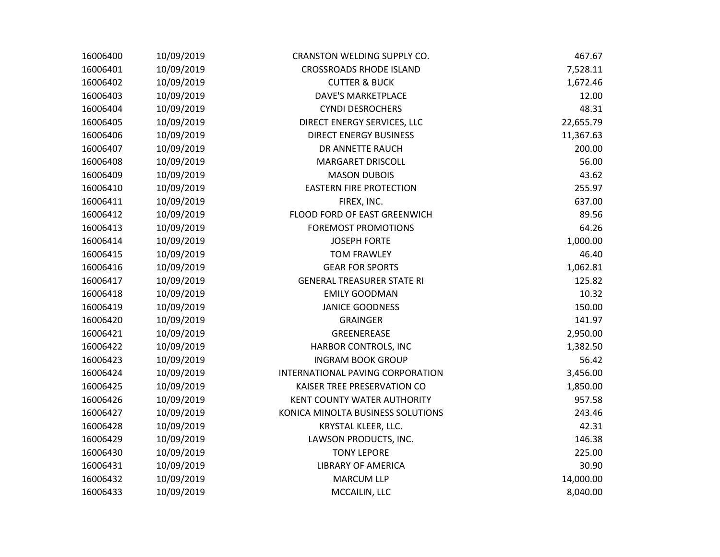| 16006400 | 10/09/2019 | CRANSTON WELDING SUPPLY CO.        | 467.67    |
|----------|------------|------------------------------------|-----------|
| 16006401 | 10/09/2019 | <b>CROSSROADS RHODE ISLAND</b>     | 7,528.11  |
| 16006402 | 10/09/2019 | <b>CUTTER &amp; BUCK</b>           | 1,672.46  |
| 16006403 | 10/09/2019 | <b>DAVE'S MARKETPLACE</b>          | 12.00     |
| 16006404 | 10/09/2019 | <b>CYNDI DESROCHERS</b>            | 48.31     |
| 16006405 | 10/09/2019 | DIRECT ENERGY SERVICES, LLC        | 22,655.79 |
| 16006406 | 10/09/2019 | <b>DIRECT ENERGY BUSINESS</b>      | 11,367.63 |
| 16006407 | 10/09/2019 | DR ANNETTE RAUCH                   | 200.00    |
| 16006408 | 10/09/2019 | <b>MARGARET DRISCOLL</b>           | 56.00     |
| 16006409 | 10/09/2019 | <b>MASON DUBOIS</b>                | 43.62     |
| 16006410 | 10/09/2019 | <b>EASTERN FIRE PROTECTION</b>     | 255.97    |
| 16006411 | 10/09/2019 | FIREX, INC.                        | 637.00    |
| 16006412 | 10/09/2019 | FLOOD FORD OF EAST GREENWICH       | 89.56     |
| 16006413 | 10/09/2019 | <b>FOREMOST PROMOTIONS</b>         | 64.26     |
| 16006414 | 10/09/2019 | <b>JOSEPH FORTE</b>                | 1,000.00  |
| 16006415 | 10/09/2019 | <b>TOM FRAWLEY</b>                 | 46.40     |
| 16006416 | 10/09/2019 | <b>GEAR FOR SPORTS</b>             | 1,062.81  |
| 16006417 | 10/09/2019 | <b>GENERAL TREASURER STATE RI</b>  | 125.82    |
| 16006418 | 10/09/2019 | <b>EMILY GOODMAN</b>               | 10.32     |
| 16006419 | 10/09/2019 | <b>JANICE GOODNESS</b>             | 150.00    |
| 16006420 | 10/09/2019 | <b>GRAINGER</b>                    | 141.97    |
| 16006421 | 10/09/2019 | GREENEREASE                        | 2,950.00  |
| 16006422 | 10/09/2019 | HARBOR CONTROLS, INC               | 1,382.50  |
| 16006423 | 10/09/2019 | <b>INGRAM BOOK GROUP</b>           | 56.42     |
| 16006424 | 10/09/2019 | INTERNATIONAL PAVING CORPORATION   | 3,456.00  |
| 16006425 | 10/09/2019 | KAISER TREE PRESERVATION CO        | 1,850.00  |
| 16006426 | 10/09/2019 | <b>KENT COUNTY WATER AUTHORITY</b> | 957.58    |
| 16006427 | 10/09/2019 | KONICA MINOLTA BUSINESS SOLUTIONS  | 243.46    |
| 16006428 | 10/09/2019 | KRYSTAL KLEER, LLC.                | 42.31     |
| 16006429 | 10/09/2019 | LAWSON PRODUCTS, INC.              | 146.38    |
| 16006430 | 10/09/2019 | <b>TONY LEPORE</b>                 | 225.00    |
| 16006431 | 10/09/2019 | <b>LIBRARY OF AMERICA</b>          | 30.90     |
| 16006432 | 10/09/2019 | <b>MARCUM LLP</b>                  | 14,000.00 |
| 16006433 | 10/09/2019 | MCCAILIN, LLC                      | 8,040.00  |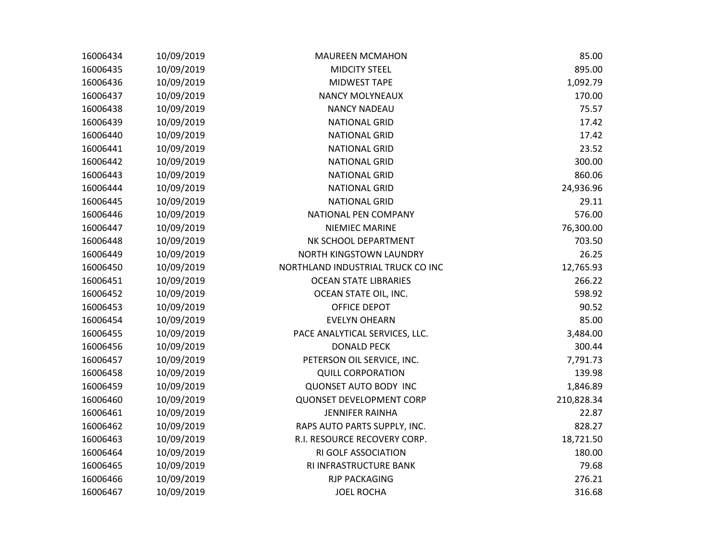| 16006434 | 10/09/2019 | <b>MAUREEN MCMAHON</b>            | 85.00      |
|----------|------------|-----------------------------------|------------|
| 16006435 | 10/09/2019 | <b>MIDCITY STEEL</b>              | 895.00     |
| 16006436 | 10/09/2019 | <b>MIDWEST TAPE</b>               | 1,092.79   |
| 16006437 | 10/09/2019 | <b>NANCY MOLYNEAUX</b>            | 170.00     |
| 16006438 | 10/09/2019 | <b>NANCY NADEAU</b>               | 75.57      |
| 16006439 | 10/09/2019 | <b>NATIONAL GRID</b>              | 17.42      |
| 16006440 | 10/09/2019 | <b>NATIONAL GRID</b>              | 17.42      |
| 16006441 | 10/09/2019 | <b>NATIONAL GRID</b>              | 23.52      |
| 16006442 | 10/09/2019 | <b>NATIONAL GRID</b>              | 300.00     |
| 16006443 | 10/09/2019 | <b>NATIONAL GRID</b>              | 860.06     |
| 16006444 | 10/09/2019 | <b>NATIONAL GRID</b>              | 24,936.96  |
| 16006445 | 10/09/2019 | <b>NATIONAL GRID</b>              | 29.11      |
| 16006446 | 10/09/2019 | NATIONAL PEN COMPANY              | 576.00     |
| 16006447 | 10/09/2019 | NIEMIEC MARINE                    | 76,300.00  |
| 16006448 | 10/09/2019 | NK SCHOOL DEPARTMENT              | 703.50     |
| 16006449 | 10/09/2019 | NORTH KINGSTOWN LAUNDRY           | 26.25      |
| 16006450 | 10/09/2019 | NORTHLAND INDUSTRIAL TRUCK CO INC | 12,765.93  |
| 16006451 | 10/09/2019 | <b>OCEAN STATE LIBRARIES</b>      | 266.22     |
| 16006452 | 10/09/2019 | OCEAN STATE OIL, INC.             | 598.92     |
| 16006453 | 10/09/2019 | OFFICE DEPOT                      | 90.52      |
| 16006454 | 10/09/2019 | <b>EVELYN OHEARN</b>              | 85.00      |
| 16006455 | 10/09/2019 | PACE ANALYTICAL SERVICES, LLC.    | 3,484.00   |
| 16006456 | 10/09/2019 | <b>DONALD PECK</b>                | 300.44     |
| 16006457 | 10/09/2019 | PETERSON OIL SERVICE, INC.        | 7,791.73   |
| 16006458 | 10/09/2019 | <b>QUILL CORPORATION</b>          | 139.98     |
| 16006459 | 10/09/2019 | <b>QUONSET AUTO BODY INC</b>      | 1,846.89   |
| 16006460 | 10/09/2019 | <b>QUONSET DEVELOPMENT CORP</b>   | 210,828.34 |
| 16006461 | 10/09/2019 | <b>JENNIFER RAINHA</b>            | 22.87      |
| 16006462 | 10/09/2019 | RAPS AUTO PARTS SUPPLY, INC.      | 828.27     |
| 16006463 | 10/09/2019 | R.I. RESOURCE RECOVERY CORP.      | 18,721.50  |
| 16006464 | 10/09/2019 | RI GOLF ASSOCIATION               | 180.00     |
| 16006465 | 10/09/2019 | RI INFRASTRUCTURE BANK            | 79.68      |
| 16006466 | 10/09/2019 | <b>RJP PACKAGING</b>              | 276.21     |
| 16006467 | 10/09/2019 | <b>JOEL ROCHA</b>                 | 316.68     |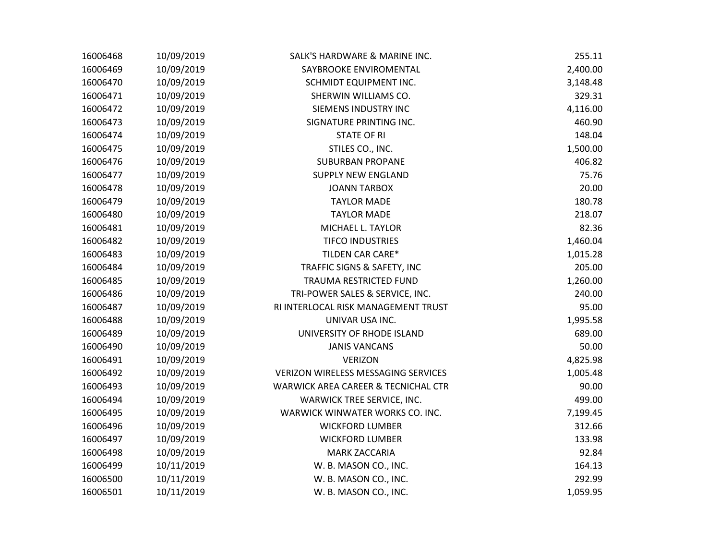| 16006468 | 10/09/2019 | SALK'S HARDWARE & MARINE INC.              | 255.11   |
|----------|------------|--------------------------------------------|----------|
| 16006469 | 10/09/2019 | SAYBROOKE ENVIROMENTAL                     | 2,400.00 |
| 16006470 | 10/09/2019 | SCHMIDT EQUIPMENT INC.                     | 3,148.48 |
| 16006471 | 10/09/2019 | SHERWIN WILLIAMS CO.                       | 329.31   |
| 16006472 | 10/09/2019 | SIEMENS INDUSTRY INC                       | 4,116.00 |
| 16006473 | 10/09/2019 | SIGNATURE PRINTING INC.                    | 460.90   |
| 16006474 | 10/09/2019 | <b>STATE OF RI</b>                         | 148.04   |
| 16006475 | 10/09/2019 | STILES CO., INC.                           | 1,500.00 |
| 16006476 | 10/09/2019 | <b>SUBURBAN PROPANE</b>                    | 406.82   |
| 16006477 | 10/09/2019 | <b>SUPPLY NEW ENGLAND</b>                  | 75.76    |
| 16006478 | 10/09/2019 | <b>JOANN TARBOX</b>                        | 20.00    |
| 16006479 | 10/09/2019 | <b>TAYLOR MADE</b>                         | 180.78   |
| 16006480 | 10/09/2019 | <b>TAYLOR MADE</b>                         | 218.07   |
| 16006481 | 10/09/2019 | MICHAEL L. TAYLOR                          | 82.36    |
| 16006482 | 10/09/2019 | <b>TIFCO INDUSTRIES</b>                    | 1,460.04 |
| 16006483 | 10/09/2019 | TILDEN CAR CARE*                           | 1,015.28 |
| 16006484 | 10/09/2019 | TRAFFIC SIGNS & SAFETY, INC                | 205.00   |
| 16006485 | 10/09/2019 | TRAUMA RESTRICTED FUND                     | 1,260.00 |
| 16006486 | 10/09/2019 | TRI-POWER SALES & SERVICE, INC.            | 240.00   |
| 16006487 | 10/09/2019 | RI INTERLOCAL RISK MANAGEMENT TRUST        | 95.00    |
| 16006488 | 10/09/2019 | UNIVAR USA INC.                            | 1,995.58 |
| 16006489 | 10/09/2019 | UNIVERSITY OF RHODE ISLAND                 | 689.00   |
| 16006490 | 10/09/2019 | <b>JANIS VANCANS</b>                       | 50.00    |
| 16006491 | 10/09/2019 | <b>VERIZON</b>                             | 4,825.98 |
| 16006492 | 10/09/2019 | <b>VERIZON WIRELESS MESSAGING SERVICES</b> | 1,005.48 |
| 16006493 | 10/09/2019 | WARWICK AREA CAREER & TECNICHAL CTR        | 90.00    |
| 16006494 | 10/09/2019 | WARWICK TREE SERVICE, INC.                 | 499.00   |
| 16006495 | 10/09/2019 | WARWICK WINWATER WORKS CO. INC.            | 7,199.45 |
| 16006496 | 10/09/2019 | <b>WICKFORD LUMBER</b>                     | 312.66   |
| 16006497 | 10/09/2019 | <b>WICKFORD LUMBER</b>                     | 133.98   |
| 16006498 | 10/09/2019 | <b>MARK ZACCARIA</b>                       | 92.84    |
| 16006499 | 10/11/2019 | W. B. MASON CO., INC.                      | 164.13   |
| 16006500 | 10/11/2019 | W. B. MASON CO., INC.                      | 292.99   |
| 16006501 | 10/11/2019 | W. B. MASON CO., INC.                      | 1,059.95 |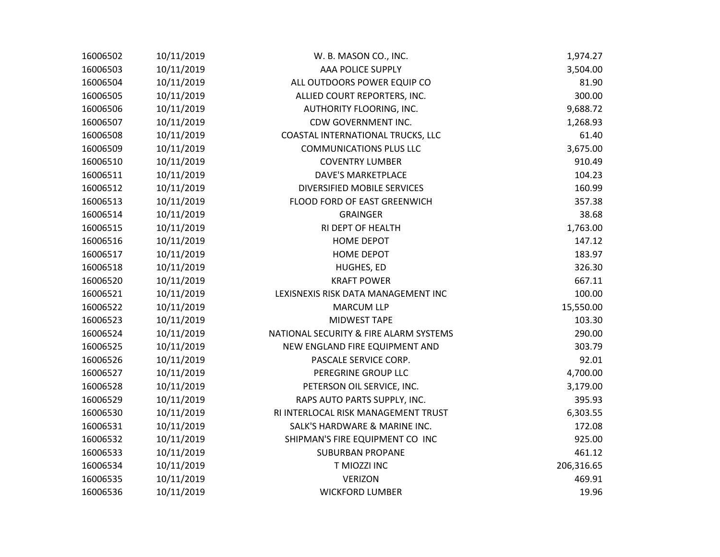| 16006502 | 10/11/2019 | W. B. MASON CO., INC.                  | 1,974.27   |
|----------|------------|----------------------------------------|------------|
| 16006503 | 10/11/2019 | AAA POLICE SUPPLY                      | 3,504.00   |
| 16006504 | 10/11/2019 | ALL OUTDOORS POWER EQUIP CO            | 81.90      |
| 16006505 | 10/11/2019 | ALLIED COURT REPORTERS, INC.           | 300.00     |
| 16006506 | 10/11/2019 | AUTHORITY FLOORING, INC.               | 9,688.72   |
| 16006507 | 10/11/2019 | CDW GOVERNMENT INC.                    | 1,268.93   |
| 16006508 | 10/11/2019 | COASTAL INTERNATIONAL TRUCKS, LLC      | 61.40      |
| 16006509 | 10/11/2019 | <b>COMMUNICATIONS PLUS LLC</b>         | 3,675.00   |
| 16006510 | 10/11/2019 | <b>COVENTRY LUMBER</b>                 | 910.49     |
| 16006511 | 10/11/2019 | <b>DAVE'S MARKETPLACE</b>              | 104.23     |
| 16006512 | 10/11/2019 | DIVERSIFIED MOBILE SERVICES            | 160.99     |
| 16006513 | 10/11/2019 | FLOOD FORD OF EAST GREENWICH           | 357.38     |
| 16006514 | 10/11/2019 | <b>GRAINGER</b>                        | 38.68      |
| 16006515 | 10/11/2019 | RI DEPT OF HEALTH                      | 1,763.00   |
| 16006516 | 10/11/2019 | <b>HOME DEPOT</b>                      | 147.12     |
| 16006517 | 10/11/2019 | <b>HOME DEPOT</b>                      | 183.97     |
| 16006518 | 10/11/2019 | HUGHES, ED                             | 326.30     |
| 16006520 | 10/11/2019 | <b>KRAFT POWER</b>                     | 667.11     |
| 16006521 | 10/11/2019 | LEXISNEXIS RISK DATA MANAGEMENT INC    | 100.00     |
| 16006522 | 10/11/2019 | <b>MARCUM LLP</b>                      | 15,550.00  |
| 16006523 | 10/11/2019 | MIDWEST TAPE                           | 103.30     |
| 16006524 | 10/11/2019 | NATIONAL SECURITY & FIRE ALARM SYSTEMS | 290.00     |
| 16006525 | 10/11/2019 | NEW ENGLAND FIRE EQUIPMENT AND         | 303.79     |
| 16006526 | 10/11/2019 | PASCALE SERVICE CORP.                  | 92.01      |
| 16006527 | 10/11/2019 | PEREGRINE GROUP LLC                    | 4,700.00   |
| 16006528 | 10/11/2019 | PETERSON OIL SERVICE, INC.             | 3,179.00   |
| 16006529 | 10/11/2019 | RAPS AUTO PARTS SUPPLY, INC.           | 395.93     |
| 16006530 | 10/11/2019 | RI INTERLOCAL RISK MANAGEMENT TRUST    | 6,303.55   |
| 16006531 | 10/11/2019 | SALK'S HARDWARE & MARINE INC.          | 172.08     |
| 16006532 | 10/11/2019 | SHIPMAN'S FIRE EQUIPMENT CO INC        | 925.00     |
| 16006533 | 10/11/2019 | <b>SUBURBAN PROPANE</b>                | 461.12     |
| 16006534 | 10/11/2019 | T MIOZZI INC                           | 206,316.65 |
| 16006535 | 10/11/2019 | <b>VERIZON</b>                         | 469.91     |
| 16006536 | 10/11/2019 | <b>WICKFORD LUMBER</b>                 | 19.96      |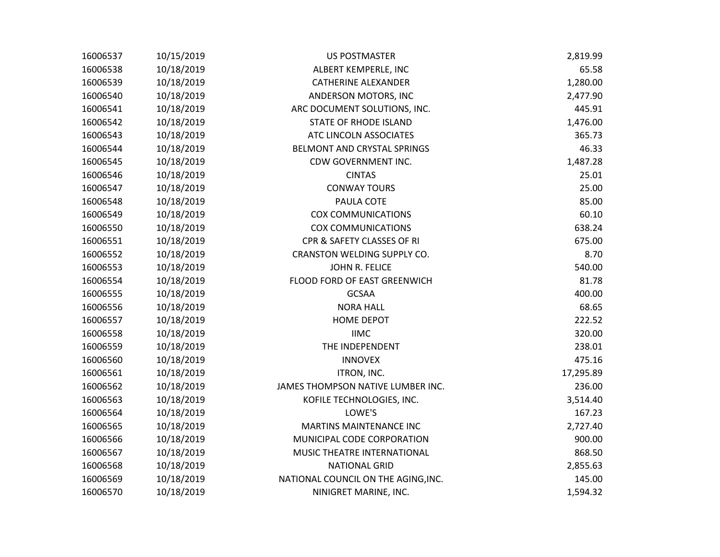| 16006537 | 10/15/2019 | <b>US POSTMASTER</b>                | 2,819.99  |
|----------|------------|-------------------------------------|-----------|
| 16006538 | 10/18/2019 | ALBERT KEMPERLE, INC                | 65.58     |
| 16006539 | 10/18/2019 | <b>CATHERINE ALEXANDER</b>          | 1,280.00  |
| 16006540 | 10/18/2019 | ANDERSON MOTORS, INC                | 2,477.90  |
| 16006541 | 10/18/2019 | ARC DOCUMENT SOLUTIONS, INC.        | 445.91    |
| 16006542 | 10/18/2019 | <b>STATE OF RHODE ISLAND</b>        | 1,476.00  |
| 16006543 | 10/18/2019 | ATC LINCOLN ASSOCIATES              | 365.73    |
| 16006544 | 10/18/2019 | BELMONT AND CRYSTAL SPRINGS         | 46.33     |
| 16006545 | 10/18/2019 | CDW GOVERNMENT INC.                 | 1,487.28  |
| 16006546 | 10/18/2019 | <b>CINTAS</b>                       | 25.01     |
| 16006547 | 10/18/2019 | <b>CONWAY TOURS</b>                 | 25.00     |
| 16006548 | 10/18/2019 | PAULA COTE                          | 85.00     |
| 16006549 | 10/18/2019 | <b>COX COMMUNICATIONS</b>           | 60.10     |
| 16006550 | 10/18/2019 | <b>COX COMMUNICATIONS</b>           | 638.24    |
| 16006551 | 10/18/2019 | CPR & SAFETY CLASSES OF RI          | 675.00    |
| 16006552 | 10/18/2019 | CRANSTON WELDING SUPPLY CO.         | 8.70      |
| 16006553 | 10/18/2019 | JOHN R. FELICE                      | 540.00    |
| 16006554 | 10/18/2019 | FLOOD FORD OF EAST GREENWICH        | 81.78     |
| 16006555 | 10/18/2019 | <b>GCSAA</b>                        | 400.00    |
| 16006556 | 10/18/2019 | <b>NORA HALL</b>                    | 68.65     |
| 16006557 | 10/18/2019 | <b>HOME DEPOT</b>                   | 222.52    |
| 16006558 | 10/18/2019 | <b>IIMC</b>                         | 320.00    |
| 16006559 | 10/18/2019 | THE INDEPENDENT                     | 238.01    |
| 16006560 | 10/18/2019 | <b>INNOVEX</b>                      | 475.16    |
| 16006561 | 10/18/2019 | ITRON, INC.                         | 17,295.89 |
| 16006562 | 10/18/2019 | JAMES THOMPSON NATIVE LUMBER INC.   | 236.00    |
| 16006563 | 10/18/2019 | KOFILE TECHNOLOGIES, INC.           | 3,514.40  |
| 16006564 | 10/18/2019 | LOWE'S                              | 167.23    |
| 16006565 | 10/18/2019 | <b>MARTINS MAINTENANCE INC</b>      | 2,727.40  |
| 16006566 | 10/18/2019 | MUNICIPAL CODE CORPORATION          | 900.00    |
| 16006567 | 10/18/2019 | MUSIC THEATRE INTERNATIONAL         | 868.50    |
| 16006568 | 10/18/2019 | <b>NATIONAL GRID</b>                | 2,855.63  |
| 16006569 | 10/18/2019 | NATIONAL COUNCIL ON THE AGING, INC. | 145.00    |
| 16006570 | 10/18/2019 | NINIGRET MARINE, INC.               | 1,594.32  |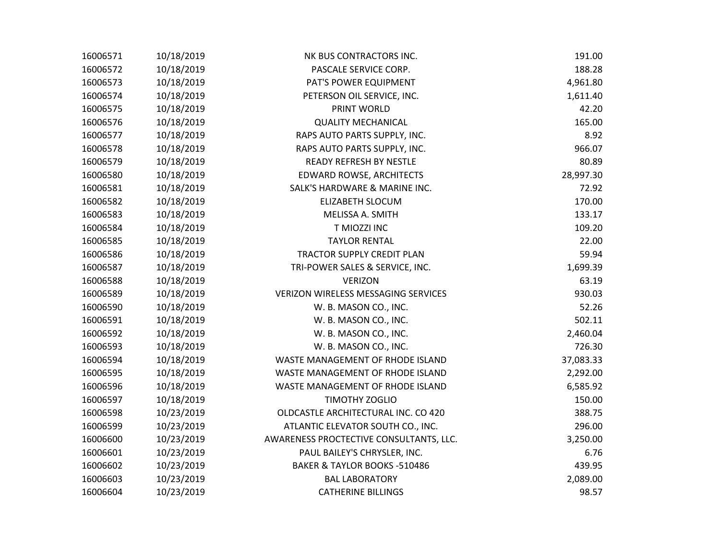| 16006571 | 10/18/2019 | NK BUS CONTRACTORS INC.                 | 191.00    |
|----------|------------|-----------------------------------------|-----------|
| 16006572 | 10/18/2019 | PASCALE SERVICE CORP.                   | 188.28    |
| 16006573 | 10/18/2019 | PAT'S POWER EQUIPMENT                   | 4,961.80  |
| 16006574 | 10/18/2019 | PETERSON OIL SERVICE, INC.              | 1,611.40  |
| 16006575 | 10/18/2019 | PRINT WORLD                             | 42.20     |
| 16006576 | 10/18/2019 | <b>QUALITY MECHANICAL</b>               | 165.00    |
| 16006577 | 10/18/2019 | RAPS AUTO PARTS SUPPLY, INC.            | 8.92      |
| 16006578 | 10/18/2019 | RAPS AUTO PARTS SUPPLY, INC.            | 966.07    |
| 16006579 | 10/18/2019 | <b>READY REFRESH BY NESTLE</b>          | 80.89     |
| 16006580 | 10/18/2019 | <b>EDWARD ROWSE, ARCHITECTS</b>         | 28,997.30 |
| 16006581 | 10/18/2019 | SALK'S HARDWARE & MARINE INC.           | 72.92     |
| 16006582 | 10/18/2019 | ELIZABETH SLOCUM                        | 170.00    |
| 16006583 | 10/18/2019 | MELISSA A. SMITH                        | 133.17    |
| 16006584 | 10/18/2019 | T MIOZZI INC                            | 109.20    |
| 16006585 | 10/18/2019 | <b>TAYLOR RENTAL</b>                    | 22.00     |
| 16006586 | 10/18/2019 | TRACTOR SUPPLY CREDIT PLAN              | 59.94     |
| 16006587 | 10/18/2019 | TRI-POWER SALES & SERVICE, INC.         | 1,699.39  |
| 16006588 | 10/18/2019 | <b>VERIZON</b>                          | 63.19     |
| 16006589 | 10/18/2019 | VERIZON WIRELESS MESSAGING SERVICES     | 930.03    |
| 16006590 | 10/18/2019 | W. B. MASON CO., INC.                   | 52.26     |
| 16006591 | 10/18/2019 | W. B. MASON CO., INC.                   | 502.11    |
| 16006592 | 10/18/2019 | W. B. MASON CO., INC.                   | 2,460.04  |
| 16006593 | 10/18/2019 | W. B. MASON CO., INC.                   | 726.30    |
| 16006594 | 10/18/2019 | WASTE MANAGEMENT OF RHODE ISLAND        | 37,083.33 |
| 16006595 | 10/18/2019 | WASTE MANAGEMENT OF RHODE ISLAND        | 2,292.00  |
| 16006596 | 10/18/2019 | WASTE MANAGEMENT OF RHODE ISLAND        | 6,585.92  |
| 16006597 | 10/18/2019 | TIMOTHY ZOGLIO                          | 150.00    |
| 16006598 | 10/23/2019 | OLDCASTLE ARCHITECTURAL INC. CO 420     | 388.75    |
| 16006599 | 10/23/2019 | ATLANTIC ELEVATOR SOUTH CO., INC.       | 296.00    |
| 16006600 | 10/23/2019 | AWARENESS PROCTECTIVE CONSULTANTS, LLC. | 3,250.00  |
| 16006601 | 10/23/2019 | PAUL BAILEY'S CHRYSLER, INC.            | 6.76      |
| 16006602 | 10/23/2019 | BAKER & TAYLOR BOOKS -510486            | 439.95    |
| 16006603 | 10/23/2019 | <b>BAL LABORATORY</b>                   | 2,089.00  |
| 16006604 | 10/23/2019 | <b>CATHERINE BILLINGS</b>               | 98.57     |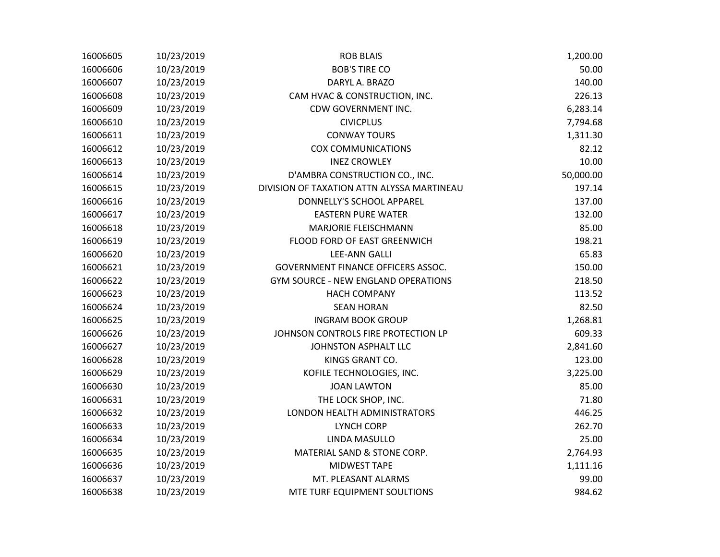| 16006605 | 10/23/2019 | <b>ROB BLAIS</b>                           | 1,200.00  |
|----------|------------|--------------------------------------------|-----------|
| 16006606 | 10/23/2019 | <b>BOB'S TIRE CO</b>                       | 50.00     |
| 16006607 | 10/23/2019 | DARYL A. BRAZO                             | 140.00    |
| 16006608 | 10/23/2019 | CAM HVAC & CONSTRUCTION, INC.              | 226.13    |
| 16006609 | 10/23/2019 | CDW GOVERNMENT INC.                        | 6,283.14  |
| 16006610 | 10/23/2019 | <b>CIVICPLUS</b>                           | 7,794.68  |
| 16006611 | 10/23/2019 | <b>CONWAY TOURS</b>                        | 1,311.30  |
| 16006612 | 10/23/2019 | <b>COX COMMUNICATIONS</b>                  | 82.12     |
| 16006613 | 10/23/2019 | <b>INEZ CROWLEY</b>                        | 10.00     |
| 16006614 | 10/23/2019 | D'AMBRA CONSTRUCTION CO., INC.             | 50,000.00 |
| 16006615 | 10/23/2019 | DIVISION OF TAXATION ATTN ALYSSA MARTINEAU | 197.14    |
| 16006616 | 10/23/2019 | DONNELLY'S SCHOOL APPAREL                  | 137.00    |
| 16006617 | 10/23/2019 | <b>EASTERN PURE WATER</b>                  | 132.00    |
| 16006618 | 10/23/2019 | <b>MARJORIE FLEISCHMANN</b>                | 85.00     |
| 16006619 | 10/23/2019 | FLOOD FORD OF EAST GREENWICH               | 198.21    |
| 16006620 | 10/23/2019 | <b>LEE-ANN GALLI</b>                       | 65.83     |
| 16006621 | 10/23/2019 | <b>GOVERNMENT FINANCE OFFICERS ASSOC.</b>  | 150.00    |
| 16006622 | 10/23/2019 | <b>GYM SOURCE - NEW ENGLAND OPERATIONS</b> | 218.50    |
| 16006623 | 10/23/2019 | <b>HACH COMPANY</b>                        | 113.52    |
| 16006624 | 10/23/2019 | <b>SEAN HORAN</b>                          | 82.50     |
| 16006625 | 10/23/2019 | <b>INGRAM BOOK GROUP</b>                   | 1,268.81  |
| 16006626 | 10/23/2019 | JOHNSON CONTROLS FIRE PROTECTION LP        | 609.33    |
| 16006627 | 10/23/2019 | JOHNSTON ASPHALT LLC                       | 2,841.60  |
| 16006628 | 10/23/2019 | KINGS GRANT CO.                            | 123.00    |
| 16006629 | 10/23/2019 | KOFILE TECHNOLOGIES, INC.                  | 3,225.00  |
| 16006630 | 10/23/2019 | <b>JOAN LAWTON</b>                         | 85.00     |
| 16006631 | 10/23/2019 | THE LOCK SHOP, INC.                        | 71.80     |
| 16006632 | 10/23/2019 | LONDON HEALTH ADMINISTRATORS               | 446.25    |
| 16006633 | 10/23/2019 | <b>LYNCH CORP</b>                          | 262.70    |
| 16006634 | 10/23/2019 | LINDA MASULLO                              | 25.00     |
| 16006635 | 10/23/2019 | MATERIAL SAND & STONE CORP.                | 2,764.93  |
| 16006636 | 10/23/2019 | <b>MIDWEST TAPE</b>                        | 1,111.16  |
| 16006637 | 10/23/2019 | MT. PLEASANT ALARMS                        | 99.00     |
| 16006638 | 10/23/2019 | MTE TURF EQUIPMENT SOULTIONS               | 984.62    |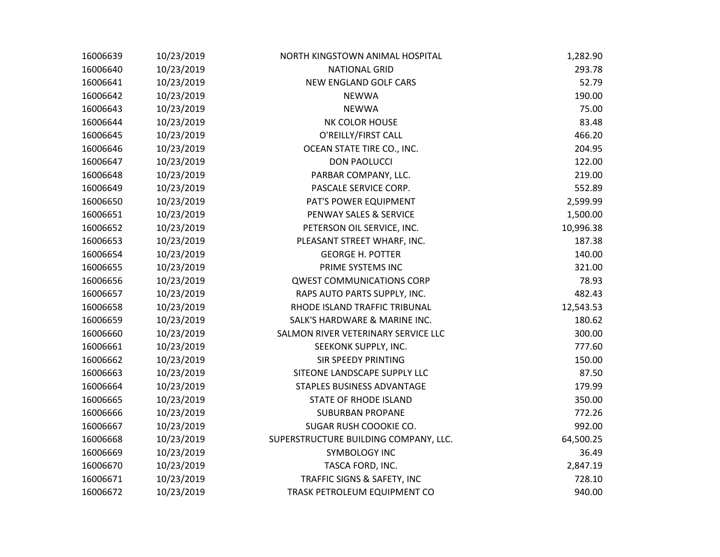| 16006639 | 10/23/2019 | NORTH KINGSTOWN ANIMAL HOSPITAL       | 1,282.90  |
|----------|------------|---------------------------------------|-----------|
| 16006640 | 10/23/2019 | <b>NATIONAL GRID</b>                  | 293.78    |
| 16006641 | 10/23/2019 | NEW ENGLAND GOLF CARS                 | 52.79     |
| 16006642 | 10/23/2019 | <b>NEWWA</b>                          | 190.00    |
| 16006643 | 10/23/2019 | <b>NEWWA</b>                          | 75.00     |
| 16006644 | 10/23/2019 | NK COLOR HOUSE                        | 83.48     |
| 16006645 | 10/23/2019 | O'REILLY/FIRST CALL                   | 466.20    |
| 16006646 | 10/23/2019 | OCEAN STATE TIRE CO., INC.            | 204.95    |
| 16006647 | 10/23/2019 | <b>DON PAOLUCCI</b>                   | 122.00    |
| 16006648 | 10/23/2019 | PARBAR COMPANY, LLC.                  | 219.00    |
| 16006649 | 10/23/2019 | PASCALE SERVICE CORP.                 | 552.89    |
| 16006650 | 10/23/2019 | PAT'S POWER EQUIPMENT                 | 2,599.99  |
| 16006651 | 10/23/2019 | PENWAY SALES & SERVICE                | 1,500.00  |
| 16006652 | 10/23/2019 | PETERSON OIL SERVICE, INC.            | 10,996.38 |
| 16006653 | 10/23/2019 | PLEASANT STREET WHARF, INC.           | 187.38    |
| 16006654 | 10/23/2019 | <b>GEORGE H. POTTER</b>               | 140.00    |
| 16006655 | 10/23/2019 | PRIME SYSTEMS INC                     | 321.00    |
| 16006656 | 10/23/2019 | <b>QWEST COMMUNICATIONS CORP</b>      | 78.93     |
| 16006657 | 10/23/2019 | RAPS AUTO PARTS SUPPLY, INC.          | 482.43    |
| 16006658 | 10/23/2019 | RHODE ISLAND TRAFFIC TRIBUNAL         | 12,543.53 |
| 16006659 | 10/23/2019 | SALK'S HARDWARE & MARINE INC.         | 180.62    |
| 16006660 | 10/23/2019 | SALMON RIVER VETERINARY SERVICE LLC   | 300.00    |
| 16006661 | 10/23/2019 | SEEKONK SUPPLY, INC.                  | 777.60    |
| 16006662 | 10/23/2019 | <b>SIR SPEEDY PRINTING</b>            | 150.00    |
| 16006663 | 10/23/2019 | SITEONE LANDSCAPE SUPPLY LLC          | 87.50     |
| 16006664 | 10/23/2019 | STAPLES BUSINESS ADVANTAGE            | 179.99    |
| 16006665 | 10/23/2019 | STATE OF RHODE ISLAND                 | 350.00    |
| 16006666 | 10/23/2019 | <b>SUBURBAN PROPANE</b>               | 772.26    |
| 16006667 | 10/23/2019 | SUGAR RUSH COOOKIE CO.                | 992.00    |
| 16006668 | 10/23/2019 | SUPERSTRUCTURE BUILDING COMPANY, LLC. | 64,500.25 |
| 16006669 | 10/23/2019 | SYMBOLOGY INC                         | 36.49     |
| 16006670 | 10/23/2019 | TASCA FORD, INC.                      | 2,847.19  |
| 16006671 | 10/23/2019 | TRAFFIC SIGNS & SAFETY, INC           | 728.10    |
| 16006672 | 10/23/2019 | TRASK PETROLEUM EQUIPMENT CO          | 940.00    |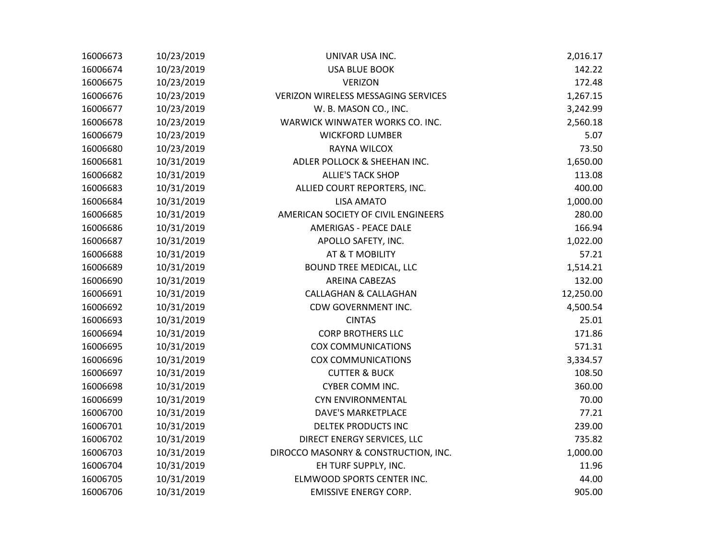| 16006673 | 10/23/2019 | UNIVAR USA INC.                            | 2,016.17  |
|----------|------------|--------------------------------------------|-----------|
| 16006674 | 10/23/2019 | <b>USA BLUE BOOK</b>                       | 142.22    |
| 16006675 | 10/23/2019 | <b>VERIZON</b>                             | 172.48    |
| 16006676 | 10/23/2019 | <b>VERIZON WIRELESS MESSAGING SERVICES</b> | 1,267.15  |
| 16006677 | 10/23/2019 | W. B. MASON CO., INC.                      | 3,242.99  |
| 16006678 | 10/23/2019 | WARWICK WINWATER WORKS CO. INC.            | 2,560.18  |
| 16006679 | 10/23/2019 | <b>WICKFORD LUMBER</b>                     | 5.07      |
| 16006680 | 10/23/2019 | RAYNA WILCOX                               | 73.50     |
| 16006681 | 10/31/2019 | ADLER POLLOCK & SHEEHAN INC.               | 1,650.00  |
| 16006682 | 10/31/2019 | <b>ALLIE'S TACK SHOP</b>                   | 113.08    |
| 16006683 | 10/31/2019 | ALLIED COURT REPORTERS, INC.               | 400.00    |
| 16006684 | 10/31/2019 | <b>LISA AMATO</b>                          | 1,000.00  |
| 16006685 | 10/31/2019 | AMERICAN SOCIETY OF CIVIL ENGINEERS        | 280.00    |
| 16006686 | 10/31/2019 | <b>AMERIGAS - PEACE DALE</b>               | 166.94    |
| 16006687 | 10/31/2019 | APOLLO SAFETY, INC.                        | 1,022.00  |
| 16006688 | 10/31/2019 | AT & T MOBILITY                            | 57.21     |
| 16006689 | 10/31/2019 | BOUND TREE MEDICAL, LLC                    | 1,514.21  |
| 16006690 | 10/31/2019 | <b>AREINA CABEZAS</b>                      | 132.00    |
| 16006691 | 10/31/2019 | <b>CALLAGHAN &amp; CALLAGHAN</b>           | 12,250.00 |
| 16006692 | 10/31/2019 | CDW GOVERNMENT INC.                        | 4,500.54  |
| 16006693 | 10/31/2019 | <b>CINTAS</b>                              | 25.01     |
| 16006694 | 10/31/2019 | <b>CORP BROTHERS LLC</b>                   | 171.86    |
| 16006695 | 10/31/2019 | <b>COX COMMUNICATIONS</b>                  | 571.31    |
| 16006696 | 10/31/2019 | <b>COX COMMUNICATIONS</b>                  | 3,334.57  |
| 16006697 | 10/31/2019 | <b>CUTTER &amp; BUCK</b>                   | 108.50    |
| 16006698 | 10/31/2019 | <b>CYBER COMM INC.</b>                     | 360.00    |
| 16006699 | 10/31/2019 | <b>CYN ENVIRONMENTAL</b>                   | 70.00     |
| 16006700 | 10/31/2019 | <b>DAVE'S MARKETPLACE</b>                  | 77.21     |
| 16006701 | 10/31/2019 | <b>DELTEK PRODUCTS INC</b>                 | 239.00    |
| 16006702 | 10/31/2019 | DIRECT ENERGY SERVICES, LLC                | 735.82    |
| 16006703 | 10/31/2019 | DIROCCO MASONRY & CONSTRUCTION, INC.       | 1,000.00  |
| 16006704 | 10/31/2019 | EH TURF SUPPLY, INC.                       | 11.96     |
| 16006705 | 10/31/2019 | ELMWOOD SPORTS CENTER INC.                 | 44.00     |
| 16006706 | 10/31/2019 | <b>EMISSIVE ENERGY CORP.</b>               | 905.00    |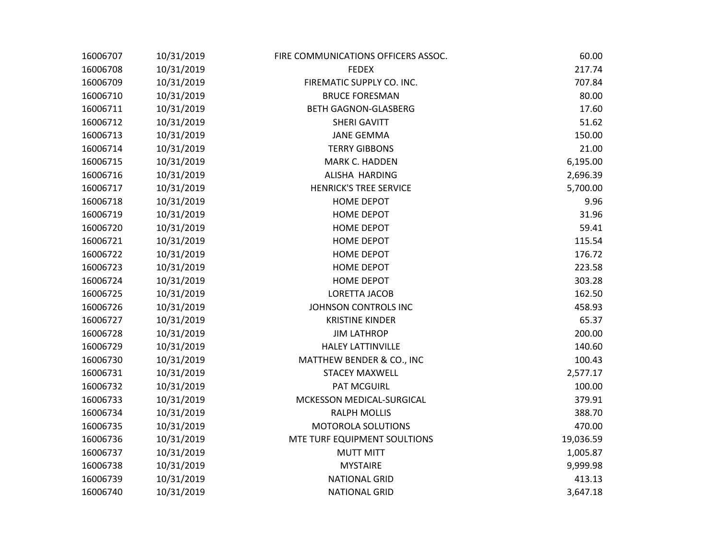| 16006707 | 10/31/2019 | FIRE COMMUNICATIONS OFFICERS ASSOC. | 60.00     |
|----------|------------|-------------------------------------|-----------|
| 16006708 | 10/31/2019 | <b>FEDEX</b>                        | 217.74    |
| 16006709 | 10/31/2019 | FIREMATIC SUPPLY CO. INC.           | 707.84    |
| 16006710 | 10/31/2019 | <b>BRUCE FORESMAN</b>               | 80.00     |
| 16006711 | 10/31/2019 | <b>BETH GAGNON-GLASBERG</b>         | 17.60     |
| 16006712 | 10/31/2019 | SHERI GAVITT                        | 51.62     |
| 16006713 | 10/31/2019 | <b>JANE GEMMA</b>                   | 150.00    |
| 16006714 | 10/31/2019 | <b>TERRY GIBBONS</b>                | 21.00     |
| 16006715 | 10/31/2019 | MARK C. HADDEN                      | 6,195.00  |
| 16006716 | 10/31/2019 | ALISHA HARDING                      | 2,696.39  |
| 16006717 | 10/31/2019 | <b>HENRICK'S TREE SERVICE</b>       | 5,700.00  |
| 16006718 | 10/31/2019 | <b>HOME DEPOT</b>                   | 9.96      |
| 16006719 | 10/31/2019 | <b>HOME DEPOT</b>                   | 31.96     |
| 16006720 | 10/31/2019 | <b>HOME DEPOT</b>                   | 59.41     |
| 16006721 | 10/31/2019 | <b>HOME DEPOT</b>                   | 115.54    |
| 16006722 | 10/31/2019 | <b>HOME DEPOT</b>                   | 176.72    |
| 16006723 | 10/31/2019 | <b>HOME DEPOT</b>                   | 223.58    |
| 16006724 | 10/31/2019 | HOME DEPOT                          | 303.28    |
| 16006725 | 10/31/2019 | LORETTA JACOB                       | 162.50    |
| 16006726 | 10/31/2019 | JOHNSON CONTROLS INC                | 458.93    |
| 16006727 | 10/31/2019 | <b>KRISTINE KINDER</b>              | 65.37     |
| 16006728 | 10/31/2019 | <b>JIM LATHROP</b>                  | 200.00    |
| 16006729 | 10/31/2019 | <b>HALEY LATTINVILLE</b>            | 140.60    |
| 16006730 | 10/31/2019 | MATTHEW BENDER & CO., INC           | 100.43    |
| 16006731 | 10/31/2019 | <b>STACEY MAXWELL</b>               | 2,577.17  |
| 16006732 | 10/31/2019 | <b>PAT MCGUIRL</b>                  | 100.00    |
| 16006733 | 10/31/2019 | MCKESSON MEDICAL-SURGICAL           | 379.91    |
| 16006734 | 10/31/2019 | <b>RALPH MOLLIS</b>                 | 388.70    |
| 16006735 | 10/31/2019 | MOTOROLA SOLUTIONS                  | 470.00    |
| 16006736 | 10/31/2019 | MTE TURF EQUIPMENT SOULTIONS        | 19,036.59 |
| 16006737 | 10/31/2019 | <b>MUTT MITT</b>                    | 1,005.87  |
| 16006738 | 10/31/2019 | <b>MYSTAIRE</b>                     | 9,999.98  |
| 16006739 | 10/31/2019 | <b>NATIONAL GRID</b>                | 413.13    |
| 16006740 | 10/31/2019 | <b>NATIONAL GRID</b>                | 3,647.18  |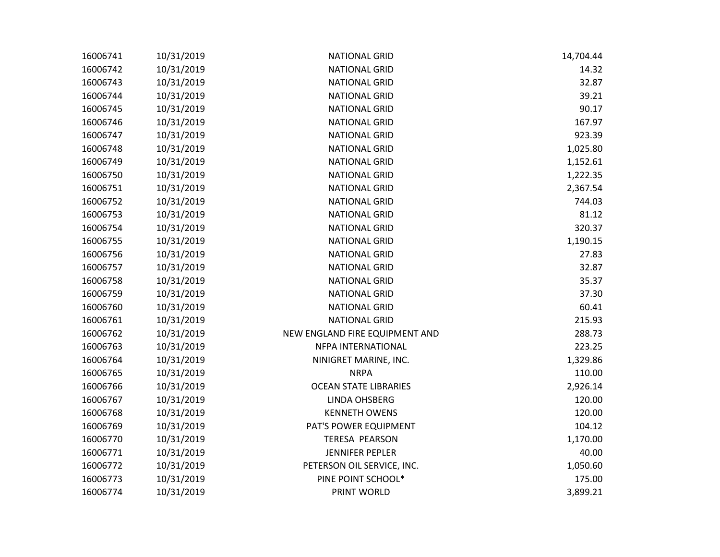| 16006741 | 10/31/2019 | <b>NATIONAL GRID</b>           | 14,704.44 |
|----------|------------|--------------------------------|-----------|
| 16006742 | 10/31/2019 | <b>NATIONAL GRID</b>           | 14.32     |
| 16006743 | 10/31/2019 | <b>NATIONAL GRID</b>           | 32.87     |
| 16006744 | 10/31/2019 | <b>NATIONAL GRID</b>           | 39.21     |
| 16006745 | 10/31/2019 | <b>NATIONAL GRID</b>           | 90.17     |
| 16006746 | 10/31/2019 | <b>NATIONAL GRID</b>           | 167.97    |
| 16006747 | 10/31/2019 | <b>NATIONAL GRID</b>           | 923.39    |
| 16006748 | 10/31/2019 | <b>NATIONAL GRID</b>           | 1,025.80  |
| 16006749 | 10/31/2019 | <b>NATIONAL GRID</b>           | 1,152.61  |
| 16006750 | 10/31/2019 | <b>NATIONAL GRID</b>           | 1,222.35  |
| 16006751 | 10/31/2019 | <b>NATIONAL GRID</b>           | 2,367.54  |
| 16006752 | 10/31/2019 | <b>NATIONAL GRID</b>           | 744.03    |
| 16006753 | 10/31/2019 | <b>NATIONAL GRID</b>           | 81.12     |
| 16006754 | 10/31/2019 | <b>NATIONAL GRID</b>           | 320.37    |
| 16006755 | 10/31/2019 | <b>NATIONAL GRID</b>           | 1,190.15  |
| 16006756 | 10/31/2019 | <b>NATIONAL GRID</b>           | 27.83     |
| 16006757 | 10/31/2019 | <b>NATIONAL GRID</b>           | 32.87     |
| 16006758 | 10/31/2019 | <b>NATIONAL GRID</b>           | 35.37     |
| 16006759 | 10/31/2019 | <b>NATIONAL GRID</b>           | 37.30     |
| 16006760 | 10/31/2019 | <b>NATIONAL GRID</b>           | 60.41     |
| 16006761 | 10/31/2019 | <b>NATIONAL GRID</b>           | 215.93    |
| 16006762 | 10/31/2019 | NEW ENGLAND FIRE EQUIPMENT AND | 288.73    |
| 16006763 | 10/31/2019 | NFPA INTERNATIONAL             | 223.25    |
| 16006764 | 10/31/2019 | NINIGRET MARINE, INC.          | 1,329.86  |
| 16006765 | 10/31/2019 | <b>NRPA</b>                    | 110.00    |
| 16006766 | 10/31/2019 | <b>OCEAN STATE LIBRARIES</b>   | 2,926.14  |
| 16006767 | 10/31/2019 | <b>LINDA OHSBERG</b>           | 120.00    |
| 16006768 | 10/31/2019 | <b>KENNETH OWENS</b>           | 120.00    |
| 16006769 | 10/31/2019 | PAT'S POWER EQUIPMENT          | 104.12    |
| 16006770 | 10/31/2019 | <b>TERESA PEARSON</b>          | 1,170.00  |
| 16006771 | 10/31/2019 | <b>JENNIFER PEPLER</b>         | 40.00     |
| 16006772 | 10/31/2019 | PETERSON OIL SERVICE, INC.     | 1,050.60  |
| 16006773 | 10/31/2019 | PINE POINT SCHOOL*             | 175.00    |
| 16006774 | 10/31/2019 | PRINT WORLD                    | 3,899.21  |